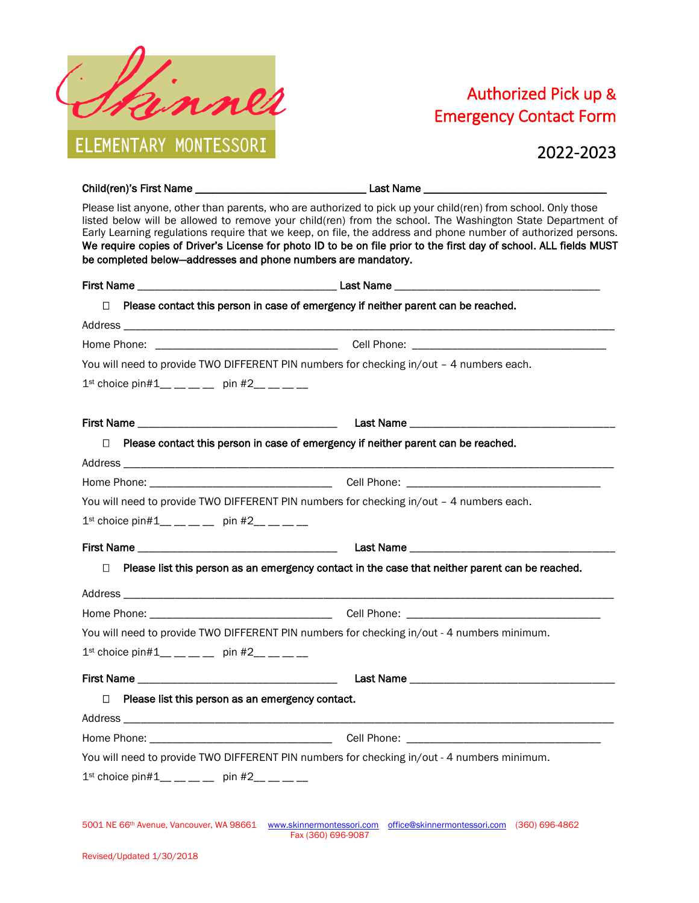

## Authorized Pick up & Emergency Contact Form

2022-2023

| be completed below-addresses and phone numbers are mandatory.                                                                                                                                                                  | Please list anyone, other than parents, who are authorized to pick up your child(ren) from school. Only those<br>listed below will be allowed to remove your child(ren) from the school. The Washington State Department of<br>Early Learning regulations require that we keep, on file, the address and phone number of authorized persons.<br>We require copies of Driver's License for photo ID to be on file prior to the first day of school. ALL fields MUST |
|--------------------------------------------------------------------------------------------------------------------------------------------------------------------------------------------------------------------------------|--------------------------------------------------------------------------------------------------------------------------------------------------------------------------------------------------------------------------------------------------------------------------------------------------------------------------------------------------------------------------------------------------------------------------------------------------------------------|
|                                                                                                                                                                                                                                |                                                                                                                                                                                                                                                                                                                                                                                                                                                                    |
| □                                                                                                                                                                                                                              | Please contact this person in case of emergency if neither parent can be reached.                                                                                                                                                                                                                                                                                                                                                                                  |
|                                                                                                                                                                                                                                |                                                                                                                                                                                                                                                                                                                                                                                                                                                                    |
|                                                                                                                                                                                                                                |                                                                                                                                                                                                                                                                                                                                                                                                                                                                    |
|                                                                                                                                                                                                                                | You will need to provide TWO DIFFERENT PIN numbers for checking in/out - 4 numbers each.                                                                                                                                                                                                                                                                                                                                                                           |
| $1^{st}$ choice pin#1__ __ __ _ pin #2__ __ __ _                                                                                                                                                                               |                                                                                                                                                                                                                                                                                                                                                                                                                                                                    |
|                                                                                                                                                                                                                                |                                                                                                                                                                                                                                                                                                                                                                                                                                                                    |
| $\Box$                                                                                                                                                                                                                         | Please contact this person in case of emergency if neither parent can be reached.                                                                                                                                                                                                                                                                                                                                                                                  |
|                                                                                                                                                                                                                                |                                                                                                                                                                                                                                                                                                                                                                                                                                                                    |
|                                                                                                                                                                                                                                |                                                                                                                                                                                                                                                                                                                                                                                                                                                                    |
|                                                                                                                                                                                                                                | You will need to provide TWO DIFFERENT PIN numbers for checking in/out - 4 numbers each.                                                                                                                                                                                                                                                                                                                                                                           |
| $1^{st}$ choice pin#1__ __ __ _ pin #2__ __ __                                                                                                                                                                                 |                                                                                                                                                                                                                                                                                                                                                                                                                                                                    |
|                                                                                                                                                                                                                                |                                                                                                                                                                                                                                                                                                                                                                                                                                                                    |
| $\Box$                                                                                                                                                                                                                         | Please list this person as an emergency contact in the case that neither parent can be reached.                                                                                                                                                                                                                                                                                                                                                                    |
|                                                                                                                                                                                                                                |                                                                                                                                                                                                                                                                                                                                                                                                                                                                    |
|                                                                                                                                                                                                                                |                                                                                                                                                                                                                                                                                                                                                                                                                                                                    |
|                                                                                                                                                                                                                                | You will need to provide TWO DIFFERENT PIN numbers for checking in/out - 4 numbers minimum.                                                                                                                                                                                                                                                                                                                                                                        |
| $1^{st}$ choice pin#1__ _ _ _ _ pin #2__ _ _ _                                                                                                                                                                                 |                                                                                                                                                                                                                                                                                                                                                                                                                                                                    |
|                                                                                                                                                                                                                                |                                                                                                                                                                                                                                                                                                                                                                                                                                                                    |
| Please list this person as an emergency contact.<br>□                                                                                                                                                                          |                                                                                                                                                                                                                                                                                                                                                                                                                                                                    |
| Address and the contract of the contract of the contract of the contract of the contract of the contract of the contract of the contract of the contract of the contract of the contract of the contract of the contract of th |                                                                                                                                                                                                                                                                                                                                                                                                                                                                    |
|                                                                                                                                                                                                                                |                                                                                                                                                                                                                                                                                                                                                                                                                                                                    |
|                                                                                                                                                                                                                                | You will need to provide TWO DIFFERENT PIN numbers for checking in/out - 4 numbers minimum.                                                                                                                                                                                                                                                                                                                                                                        |
| $1^{st}$ choice pin#1__ __ __ _ pin #2__ __ __ _                                                                                                                                                                               |                                                                                                                                                                                                                                                                                                                                                                                                                                                                    |
|                                                                                                                                                                                                                                | 5001 NE 66th Avenue, Vancouver, WA 98661 www.skinnermontessori.com office@skinnermontessori.com (360) 696-4862<br>Fax (360) 696-9087                                                                                                                                                                                                                                                                                                                               |